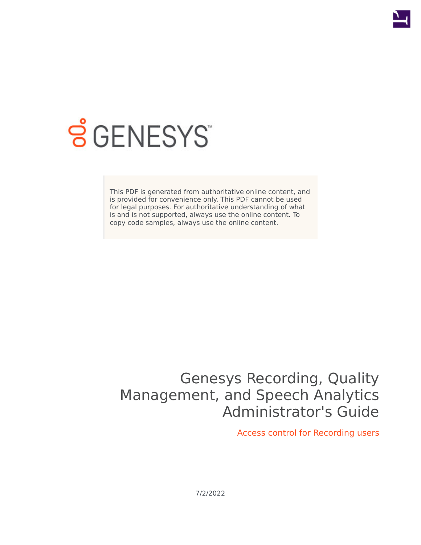

# **SGENESYS**

This PDF is generated from authoritative online content, and is provided for convenience only. This PDF cannot be used for legal purposes. For authoritative understanding of what is and is not supported, always use the online content. To copy code samples, always use the online content.

## Genesys Recording, Quality Management, and Speech Analytics Administrator's Guide

Access control for Recording users

7/2/2022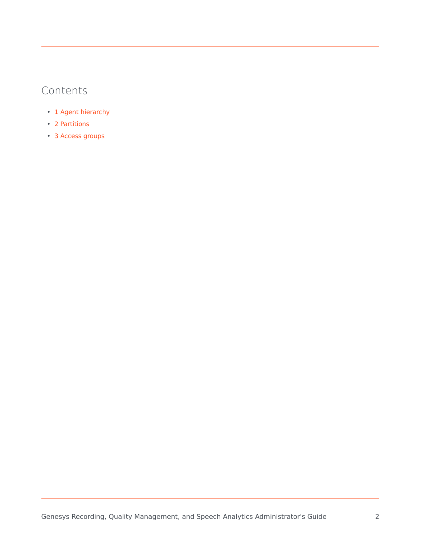## Contents

- 1 [Agent hierarchy](#page-2-0)
- 2 [Partitions](#page-3-0)
- 3 [Access groups](#page-3-1)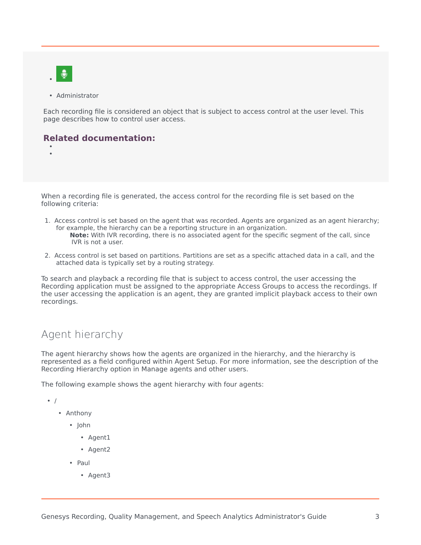

• •

• Administrator

Each recording file is considered an object that is subject to access control at the user level. This page describes how to control user access.

#### **Related documentation:**

When a recording file is generated, the access control for the recording file is set based on the following criteria:

- 1. Access control is set based on the agent that was recorded. Agents are organized as an agent hierarchy; for example, the hierarchy can be a reporting structure in an organization. **Note:** With IVR recording, there is no associated agent for the specific segment of the call, since IVR is not a user.
- 2. Access control is set based on partitions. Partitions are set as a specific attached data in a call, and the attached data is typically set by a routing strategy.

To search and playback a recording file that is subject to access control, the user accessing the Recording application must be assigned to the appropriate Access Groups to access the recordings. If the user accessing the application is an agent, they are granted implicit playback access to their own recordings.

## <span id="page-2-0"></span>Agent hierarchy

The agent hierarchy shows how the agents are organized in the hierarchy, and the hierarchy is represented as a field configured within Agent Setup. For more information, see the description of the Recording Hierarchy option in Manage agents and other users.

The following example shows the agent hierarchy with four agents:

- /
	- Anthony
		- John
			- Agent1
			- Agent2
		- Paul
			- Agent3